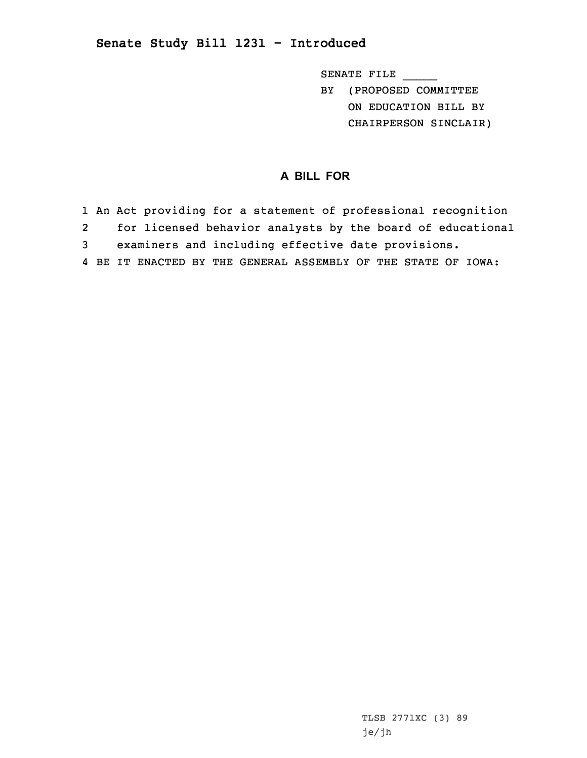## **Senate Study Bill 1231 - Introduced**

SENATE FILE \_\_\_\_\_

BY (PROPOSED COMMITTEE ON EDUCATION BILL BY CHAIRPERSON SINCLAIR)

## **A BILL FOR**

 An Act providing for <sup>a</sup> statement of professional recognition for licensed behavior analysts by the board of educational examiners and including effective date provisions. BE IT ENACTED BY THE GENERAL ASSEMBLY OF THE STATE OF IOWA:

> TLSB 2771XC (3) 89 je/jh